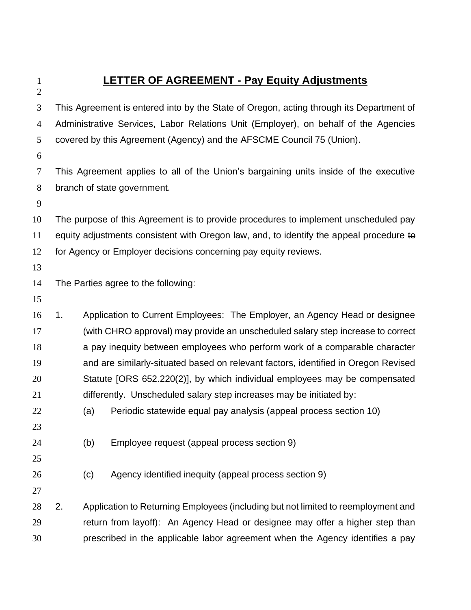## **LETTER OF AGREEMENT - Pay Equity Adjustments**

 This Agreement is entered into by the State of Oregon, acting through its Department of Administrative Services, Labor Relations Unit (Employer), on behalf of the Agencies covered by this Agreement (Agency) and the AFSCME Council 75 (Union).

 This Agreement applies to all of the Union's bargaining units inside of the executive branch of state government.

 The purpose of this Agreement is to provide procedures to implement unscheduled pay 11 equity adjustments consistent with Oregon law, and, to identify the appeal procedure to for Agency or Employer decisions concerning pay equity reviews.

The Parties agree to the following:

 1. Application to Current Employees: The Employer, an Agency Head or designee (with CHRO approval) may provide an unscheduled salary step increase to correct a pay inequity between employees who perform work of a comparable character and are similarly-situated based on relevant factors, identified in Oregon Revised Statute [ORS 652.220(2)], by which individual employees may be compensated differently. Unscheduled salary step increases may be initiated by:

(a) Periodic statewide equal pay analysis (appeal process section 10)

(b) Employee request (appeal process section 9)

(c) Agency identified inequity (appeal process section 9)

 2. Application to Returning Employees (including but not limited to reemployment and return from layoff): An Agency Head or designee may offer a higher step than prescribed in the applicable labor agreement when the Agency identifies a pay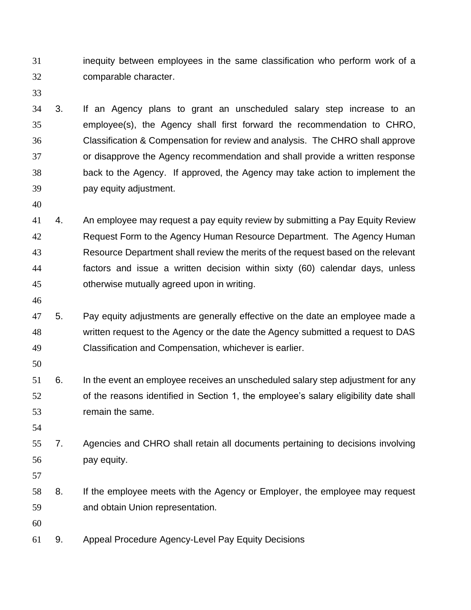inequity between employees in the same classification who perform work of a comparable character.

 3. If an Agency plans to grant an unscheduled salary step increase to an employee(s), the Agency shall first forward the recommendation to CHRO, Classification & Compensation for review and analysis. The CHRO shall approve or disapprove the Agency recommendation and shall provide a written response back to the Agency. If approved, the Agency may take action to implement the pay equity adjustment.

 4. An employee may request a pay equity review by submitting a Pay Equity Review 42 Request Form to the Agency Human Resource Department. The Agency Human Resource Department shall review the merits of the request based on the relevant factors and issue a written decision within sixty (60) calendar days, unless otherwise mutually agreed upon in writing.

 5. Pay equity adjustments are generally effective on the date an employee made a written request to the Agency or the date the Agency submitted a request to DAS Classification and Compensation, whichever is earlier.

 6. In the event an employee receives an unscheduled salary step adjustment for any of the reasons identified in Section 1, the employee's salary eligibility date shall remain the same.

 7. Agencies and CHRO shall retain all documents pertaining to decisions involving pay equity.

 8. If the employee meets with the Agency or Employer, the employee may request and obtain Union representation.

9. Appeal Procedure Agency-Level Pay Equity Decisions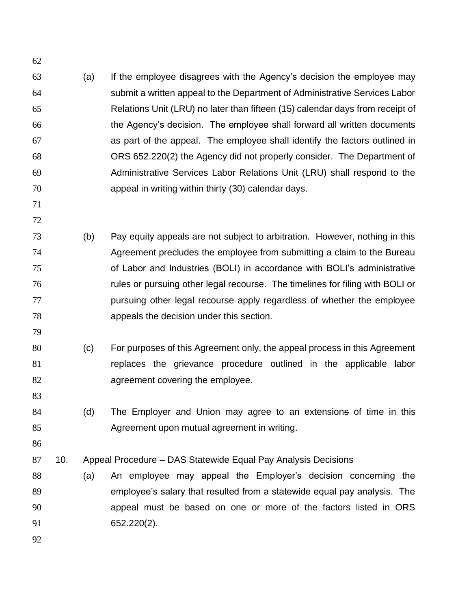- (a) If the employee disagrees with the Agency's decision the employee may submit a written appeal to the Department of Administrative Services Labor Relations Unit (LRU) no later than fifteen (15) calendar days from receipt of the Agency's decision. The employee shall forward all written documents as part of the appeal. The employee shall identify the factors outlined in ORS 652.220(2) the Agency did not properly consider. The Department of Administrative Services Labor Relations Unit (LRU) shall respond to the appeal in writing within thirty (30) calendar days.
- 

- (b) Pay equity appeals are not subject to arbitration. However, nothing in this Agreement precludes the employee from submitting a claim to the Bureau of Labor and Industries (BOLI) in accordance with BOLI's administrative rules or pursuing other legal recourse. The timelines for filing with BOLI or pursuing other legal recourse apply regardless of whether the employee appeals the decision under this section.
- (c) For purposes of this Agreement only, the appeal process in this Agreement replaces the grievance procedure outlined in the applicable labor **agreement covering the employee.** 
	- (d) The Employer and Union may agree to an extensions of time in this Agreement upon mutual agreement in writing.
	-

- 10. Appeal Procedure DAS Statewide Equal Pay Analysis Decisions
- (a) An employee may appeal the Employer's decision concerning the employee's salary that resulted from a statewide equal pay analysis. The appeal must be based on one or more of the factors listed in ORS 652.220(2).
-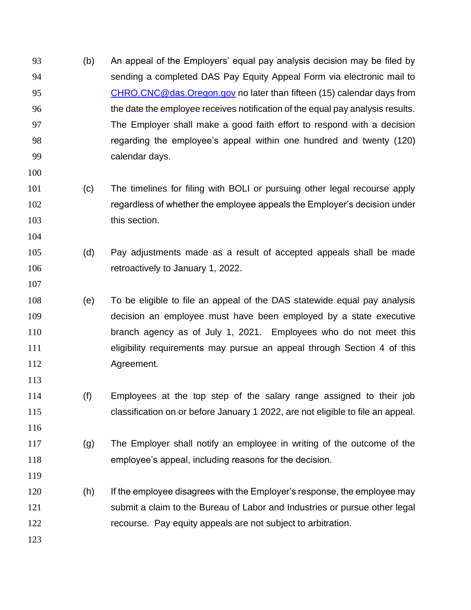- (b) An appeal of the Employers' equal pay analysis decision may be filed by sending a completed DAS Pay Equity Appeal Form via electronic mail to [CHRO.CNC@das.Oregon.gov](mailto:CHRO.CNC@das.Oregon.gov) no later than fifteen (15) calendar days from the date the employee receives notification of the equal pay analysis results. The Employer shall make a good faith effort to respond with a decision regarding the employee's appeal within one hundred and twenty (120) calendar days.
- (c) The timelines for filing with BOLI or pursuing other legal recourse apply regardless of whether the employee appeals the Employer's decision under 103 this section.
- (d) Pay adjustments made as a result of accepted appeals shall be made retroactively to January 1, 2022.
- (e) To be eligible to file an appeal of the DAS statewide equal pay analysis decision an employee must have been employed by a state executive branch agency as of July 1, 2021. Employees who do not meet this eligibility requirements may pursue an appeal through Section 4 of this Agreement.
- (f) Employees at the top step of the salary range assigned to their job classification on or before January 1 2022, are not eligible to file an appeal.
- (g) The Employer shall notify an employee in writing of the outcome of the employee's appeal, including reasons for the decision.
- (h) If the employee disagrees with the Employer's response, the employee may submit a claim to the Bureau of Labor and Industries or pursue other legal recourse. Pay equity appeals are not subject to arbitration.
	-